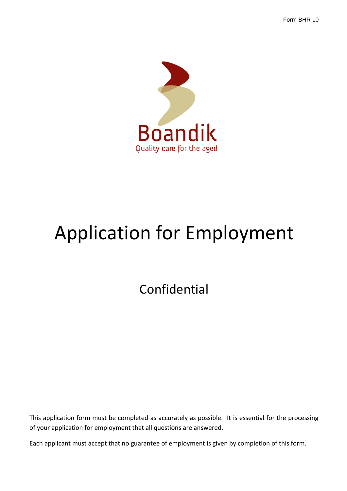Form BHR 10



# Application for Employment

Confidential

This application form must be completed as accurately as possible. It is essential for the processing of your application for employment that all questions are answered.

Each applicant must accept that no guarantee of employment is given by completion of this form.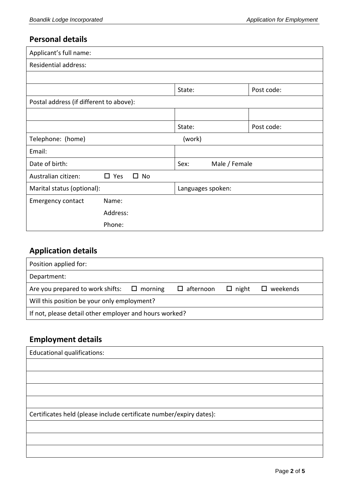#### **Personal details**

| Applicant's full name:                  |                               |                       |            |  |
|-----------------------------------------|-------------------------------|-----------------------|------------|--|
| <b>Residential address:</b>             |                               |                       |            |  |
|                                         |                               |                       |            |  |
|                                         |                               | State:                | Post code: |  |
| Postal address (if different to above): |                               |                       |            |  |
|                                         |                               |                       |            |  |
|                                         |                               | State:                | Post code: |  |
| Telephone: (home)                       |                               | (work)                |            |  |
| Email:                                  |                               |                       |            |  |
| Date of birth:                          |                               | Male / Female<br>Sex: |            |  |
| Australian citizen:                     | $\square$ Yes<br>$\square$ No |                       |            |  |
| Marital status (optional):              |                               | Languages spoken:     |            |  |
| <b>Emergency contact</b>                | Name:                         |                       |            |  |
|                                         | Address:                      |                       |            |  |
|                                         | Phone:                        |                       |            |  |

# **Application details**

| Position applied for:                                  |  |                     |              |                    |
|--------------------------------------------------------|--|---------------------|--------------|--------------------|
| Department:                                            |  |                     |              |                    |
| Are you prepared to work shifts: $\Box$ morning        |  | $\square$ afternoon | $\Box$ night | $\square$ weekends |
| Will this position be your only employment?            |  |                     |              |                    |
| If not, please detail other employer and hours worked? |  |                     |              |                    |

## **Employment details**

| <b>Educational qualifications:</b>                                  |  |
|---------------------------------------------------------------------|--|
|                                                                     |  |
|                                                                     |  |
|                                                                     |  |
|                                                                     |  |
| Certificates held (please include certificate number/expiry dates): |  |
|                                                                     |  |
|                                                                     |  |
|                                                                     |  |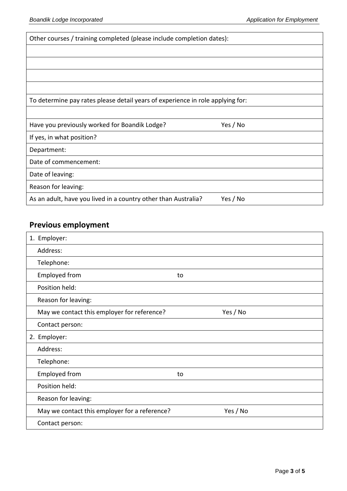| Other courses / training completed (please include completion dates):          |          |  |
|--------------------------------------------------------------------------------|----------|--|
|                                                                                |          |  |
|                                                                                |          |  |
|                                                                                |          |  |
|                                                                                |          |  |
| To determine pay rates please detail years of experience in role applying for: |          |  |
|                                                                                |          |  |
| Have you previously worked for Boandik Lodge?                                  | Yes / No |  |
| If yes, in what position?                                                      |          |  |
| Department:                                                                    |          |  |
| Date of commencement:                                                          |          |  |
| Date of leaving:                                                               |          |  |
| Reason for leaving:                                                            |          |  |
| As an adult, have you lived in a country other than Australia?                 | Yes / No |  |

## **Previous employment**

| 1. Employer:                                            |          |
|---------------------------------------------------------|----------|
| Address:                                                |          |
| Telephone:                                              |          |
| <b>Employed from</b>                                    | to       |
| Position held:                                          |          |
| Reason for leaving:                                     |          |
| Yes / No<br>May we contact this employer for reference? |          |
| Contact person:                                         |          |
| 2. Employer:                                            |          |
| Address:                                                |          |
| Telephone:                                              |          |
| Employed from                                           | to       |
| Position held:                                          |          |
| Reason for leaving:                                     |          |
| May we contact this employer for a reference?           | Yes / No |
| Contact person:                                         |          |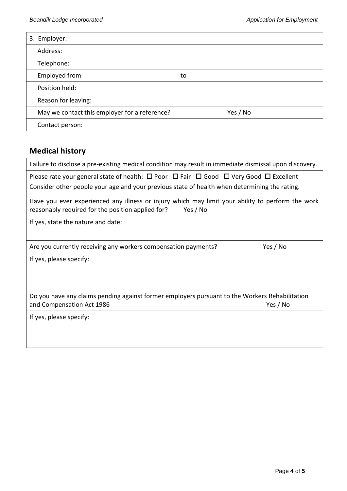| 3. Employer:                                  |          |
|-----------------------------------------------|----------|
| Address:                                      |          |
| Telephone:                                    |          |
| <b>Employed from</b>                          | to       |
| Position held:                                |          |
| Reason for leaving:                           |          |
| May we contact this employer for a reference? | Yes / No |
| Contact person:                               |          |

## **Medical history**

| Failure to disclose a pre-existing medical condition may result in immediate dismissal upon discovery.                                                            |  |  |
|-------------------------------------------------------------------------------------------------------------------------------------------------------------------|--|--|
| Please rate your general state of health: $\Box$ Poor $\Box$ Fair $\Box$ Good $\Box$ Very Good $\Box$ Excellent                                                   |  |  |
| Consider other people your age and your previous state of health when determining the rating.                                                                     |  |  |
| Have you ever experienced any illness or injury which may limit your ability to perform the work<br>reasonably required for the position applied for?<br>Yes / No |  |  |
| If yes, state the nature and date:                                                                                                                                |  |  |
|                                                                                                                                                                   |  |  |
| Yes / No<br>Are you currently receiving any workers compensation payments?                                                                                        |  |  |
| If yes, please specify:                                                                                                                                           |  |  |
|                                                                                                                                                                   |  |  |
|                                                                                                                                                                   |  |  |
| Do you have any claims pending against former employers pursuant to the Workers Rehabilitation                                                                    |  |  |
| Yes / No<br>and Compensation Act 1986                                                                                                                             |  |  |
| If yes, please specify:                                                                                                                                           |  |  |
|                                                                                                                                                                   |  |  |
|                                                                                                                                                                   |  |  |